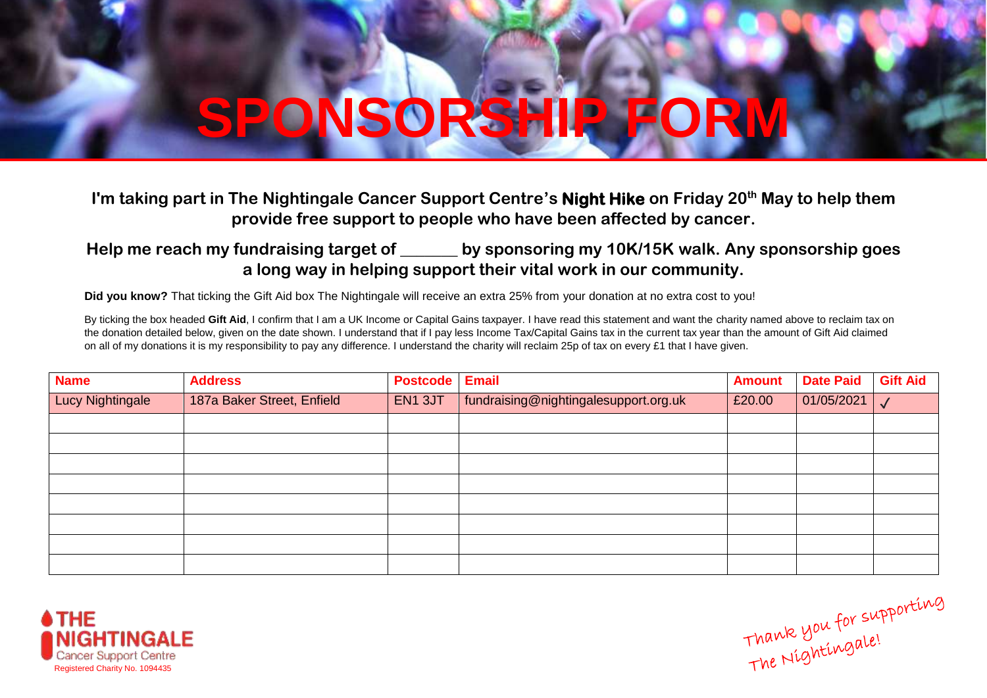## **SPONSORSHIP FORM**

## **I'm taking part in The Nightingale Cancer Support Centre's Night Hike on Friday 20th May to help them provide free support to people who have been affected by cancer.**

## **Help me reach my fundraising target of \_\_\_\_\_\_\_ by sponsoring my 10K/15K walk. Any sponsorship goes a long way in helping support their vital work in our community.**

**Did you know?** That ticking the Gift Aid box The Nightingale will receive an extra 25% from your donation at no extra cost to you!

By ticking the box headed Gift Aid, I confirm that I am a UK Income or Capital Gains taxpayer. I have read this statement and want the charity named above to reclaim tax on the donation detailed below, given on the date shown. I understand that if I pay less Income Tax/Capital Gains tax in the current tax year than the amount of Gift Aid claimed on all of my donations it is my responsibility to pay any difference. I understand the charity will reclaim 25p of tax on every £1 that I have given.

| <b>Name</b>             | <b>Address</b>             | <b>Postcode</b> | <b>Email</b>                          | <b>Amount</b> | <b>Date Paid</b> | <b>Gift Aid</b> |
|-------------------------|----------------------------|-----------------|---------------------------------------|---------------|------------------|-----------------|
| <b>Lucy Nightingale</b> | 187a Baker Street, Enfield | EN1 3JT         | fundraising@nightingalesupport.org.uk | £20.00        | 01/05/2021       |                 |
|                         |                            |                 |                                       |               |                  |                 |
|                         |                            |                 |                                       |               |                  |                 |
|                         |                            |                 |                                       |               |                  |                 |
|                         |                            |                 |                                       |               |                  |                 |
|                         |                            |                 |                                       |               |                  |                 |
|                         |                            |                 |                                       |               |                  |                 |
|                         |                            |                 |                                       |               |                  |                 |
|                         |                            |                 |                                       |               |                  |                 |



Thank you for supporting